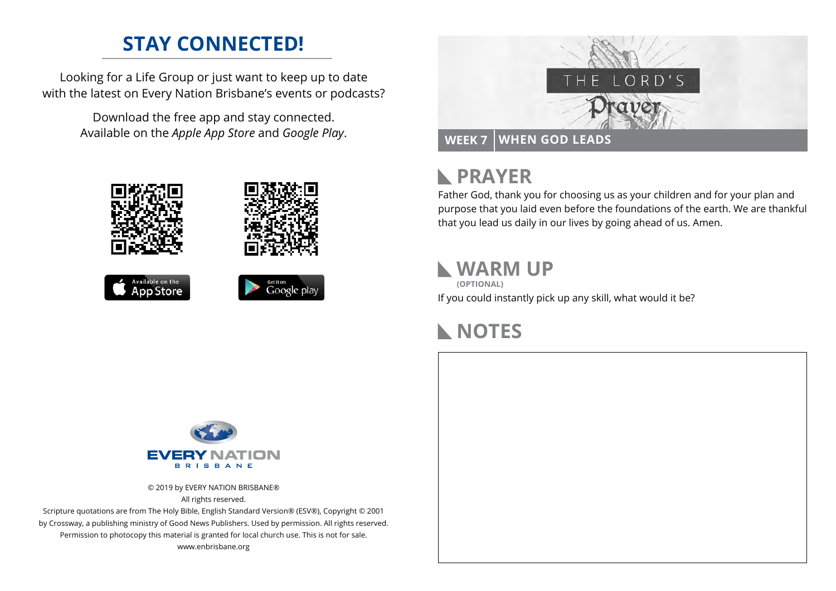## **STAY CONNECTED!**

Looking for a Life Group or just want to keep up to date with the latest on Every Nation Brisbane's events or podcasts?

> Download the free app and stay connected. Available on the *Apple App Store* and *Google Play*.











#### **PRAYER**  $\mathbb{R}$

Father God, thank you for choosing us as your children and for your plan and purpose that you laid even before the foundations of the earth. We are thankful that you lead us daily in our lives by going ahead of us. Amen.

### **WARM UP**

If you could instantly pick up any skill, what would it be? **(OPTIONAL)**





© 2019 by EVERY NATION BRISBANE® All rights reserved.

Scripture quotations are from The Holy Bible, English Standard Version® (ESV®), Copyright © 2001 by Crossway, a publishing ministry of Good News Publishers. Used by permission. All rights reserved. Permission to photocopy this material is granted for local church use. This is not for sale. www.enbrisbane.org